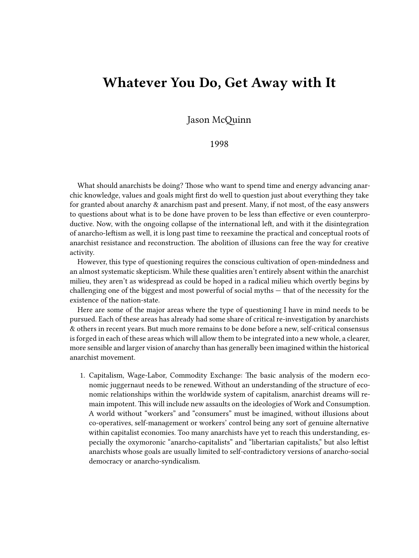## **Whatever You Do, Get Away with It**

Jason McQuinn

1998

What should anarchists be doing? Those who want to spend time and energy advancing anarchic knowledge, values and goals might first do well to question just about everything they take for granted about anarchy & anarchism past and present. Many, if not most, of the easy answers to questions about what is to be done have proven to be less than effective or even counterproductive. Now, with the ongoing collapse of the international left, and with it the disintegration of anarcho-leftism as well, it is long past time to reexamine the practical and conceptual roots of anarchist resistance and reconstruction. The abolition of illusions can free the way for creative activity.

However, this type of questioning requires the conscious cultivation of open-mindedness and an almost systematic skepticism. While these qualities aren't entirely absent within the anarchist milieu, they aren't as widespread as could be hoped in a radical milieu which overtly begins by challenging one of the biggest and most powerful of social myths — that of the necessity for the existence of the nation-state.

Here are some of the major areas where the type of questioning I have in mind needs to be pursued. Each of these areas has already had some share of critical re-investigation by anarchists & others in recent years. But much more remains to be done before a new, self-critical consensus is forged in each of these areas which will allow them to be integrated into a new whole, a clearer, more sensible and larger vision of anarchy than has generally been imagined within the historical anarchist movement.

1. Capitalism, Wage-Labor, Commodity Exchange: The basic analysis of the modern economic juggernaut needs to be renewed. Without an understanding of the structure of economic relationships within the worldwide system of capitalism, anarchist dreams will remain impotent. This will include new assaults on the ideologies of Work and Consumption. A world without "workers" and "consumers" must be imagined, without illusions about co-operatives, self-management or workers' control being any sort of genuine alternative within capitalist economies. Too many anarchists have yet to reach this understanding, especially the oxymoronic "anarcho-capitalists" and "libertarian capitalists," but also leftist anarchists whose goals are usually limited to self-contradictory versions of anarcho-social democracy or anarcho-syndicalism.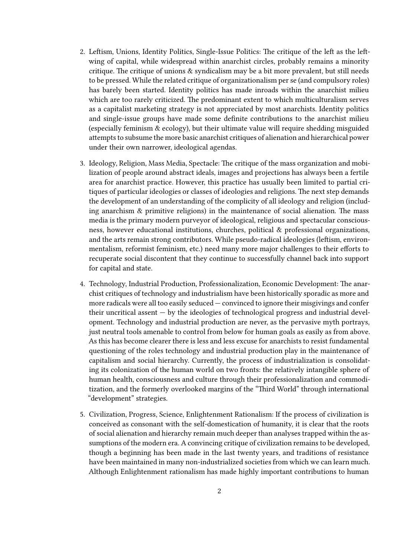- 2. Leftism, Unions, Identity Politics, Single-Issue Politics: The critique of the left as the leftwing of capital, while widespread within anarchist circles, probably remains a minority critique. The critique of unions & syndicalism may be a bit more prevalent, but still needs to be pressed. While the related critique of organizationalism per se (and compulsory roles) has barely been started. Identity politics has made inroads within the anarchist milieu which are too rarely criticized. The predominant extent to which multiculturalism serves as a capitalist marketing strategy is not appreciated by most anarchists. Identity politics and single-issue groups have made some definite contributions to the anarchist milieu (especially feminism & ecology), but their ultimate value will require shedding misguided attempts to subsume the more basic anarchist critiques of alienation and hierarchical power under their own narrower, ideological agendas.
- 3. Ideology, Religion, Mass Media, Spectacle: The critique of the mass organization and mobilization of people around abstract ideals, images and projections has always been a fertile area for anarchist practice. However, this practice has usually been limited to partial critiques of particular ideologies or classes of ideologies and religions. The next step demands the development of an understanding of the complicity of all ideology and religion (including anarchism & primitive religions) in the maintenance of social alienation. The mass media is the primary modern purveyor of ideological, religious and spectacular consciousness, however educational institutions, churches, political & professional organizations, and the arts remain strong contributors. While pseudo-radical ideologies (leftism, environmentalism, reformist feminism, etc.) need many more major challenges to their efforts to recuperate social discontent that they continue to successfully channel back into support for capital and state.
- 4. Technology, Industrial Production, Professionalization, Economic Development: The anarchist critiques of technology and industrialism have been historically sporadic as more and more radicals were all too easily seduced — convinced to ignore their misgivings and confer their uncritical assent — by the ideologies of technological progress and industrial development. Technology and industrial production are never, as the pervasive myth portrays, just neutral tools amenable to control from below for human goals as easily as from above. As this has become clearer there is less and less excuse for anarchists to resist fundamental questioning of the roles technology and industrial production play in the maintenance of capitalism and social hierarchy. Currently, the process of industrialization is consolidating its colonization of the human world on two fronts: the relatively intangible sphere of human health, consciousness and culture through their professionalization and commoditization, and the formerly overlooked margins of the "Third World" through international "development" strategies.
- 5. Civilization, Progress, Science, Enlightenment Rationalism: If the process of civilization is conceived as consonant with the self-domestication of humanity, it is clear that the roots of social alienation and hierarchy remain much deeper than analyses trapped within the assumptions of the modern era. A convincing critique of civilization remains to be developed, though a beginning has been made in the last twenty years, and traditions of resistance have been maintained in many non-industrialized societies from which we can learn much. Although Enlightenment rationalism has made highly important contributions to human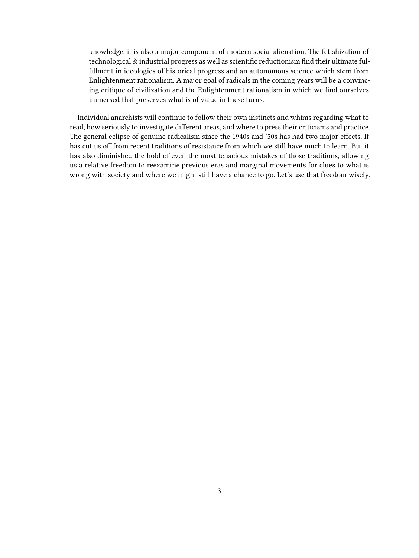knowledge, it is also a major component of modern social alienation. The fetishization of technological & industrial progress as well as scientific reductionism find their ultimate fulfillment in ideologies of historical progress and an autonomous science which stem from Enlightenment rationalism. A major goal of radicals in the coming years will be a convincing critique of civilization and the Enlightenment rationalism in which we find ourselves immersed that preserves what is of value in these turns.

Individual anarchists will continue to follow their own instincts and whims regarding what to read, how seriously to investigate different areas, and where to press their criticisms and practice. The general eclipse of genuine radicalism since the 1940s and '50s has had two major effects. It has cut us off from recent traditions of resistance from which we still have much to learn. But it has also diminished the hold of even the most tenacious mistakes of those traditions, allowing us a relative freedom to reexamine previous eras and marginal movements for clues to what is wrong with society and where we might still have a chance to go. Let's use that freedom wisely.